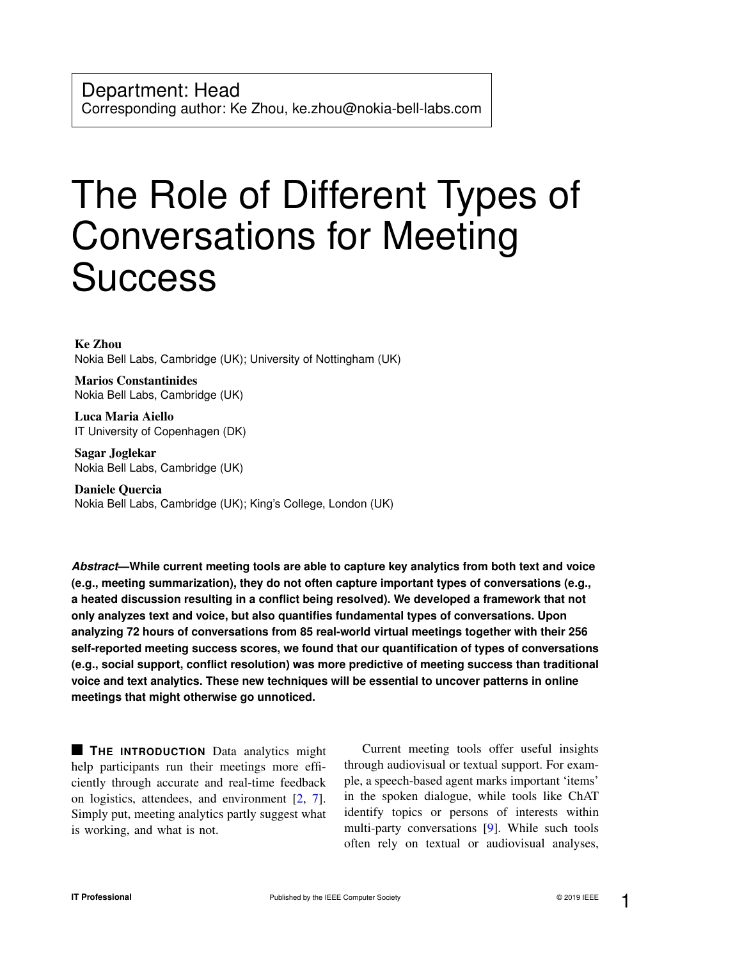# The Role of Different Types of Conversations for Meeting **Success**

Ke Zhou Nokia Bell Labs, Cambridge (UK); University of Nottingham (UK)

Marios Constantinides Nokia Bell Labs, Cambridge (UK)

Luca Maria Aiello IT University of Copenhagen (DK)

Sagar Joglekar Nokia Bell Labs, Cambridge (UK)

Daniele Quercia Nokia Bell Labs, Cambridge (UK); King's College, London (UK)

*Abstract***—While current meeting tools are able to capture key analytics from both text and voice (e.g., meeting summarization), they do not often capture important types of conversations (e.g., a heated discussion resulting in a conflict being resolved). We developed a framework that not only analyzes text and voice, but also quantifies fundamental types of conversations. Upon analyzing 72 hours of conversations from 85 real-world virtual meetings together with their 256 self-reported meeting success scores, we found that our quantification of types of conversations (e.g., social support, conflict resolution) was more predictive of meeting success than traditional voice and text analytics. These new techniques will be essential to uncover patterns in online meetings that might otherwise go unnoticed.**

**THE INTRODUCTION** Data analytics might help participants run their meetings more efficiently through accurate and real-time feedback on logistics, attendees, and environment [\[2,](#page-6-0) [7\]](#page-6-1). Simply put, meeting analytics partly suggest what is working, and what is not.

Current meeting tools offer useful insights through audiovisual or textual support. For example, a speech-based agent marks important 'items' in the spoken dialogue, while tools like ChAT identify topics or persons of interests within multi-party conversations [\[9\]](#page-6-2). While such tools often rely on textual or audiovisual analyses,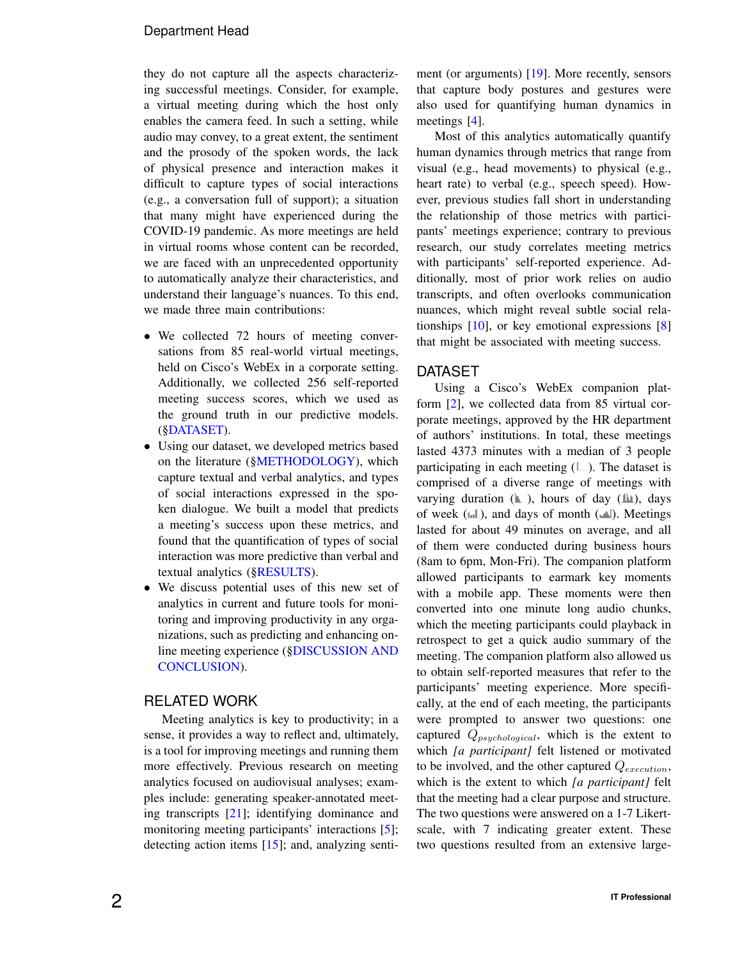# Department Head

they do not capture all the aspects characterizing successful meetings. Consider, for example, a virtual meeting during which the host only enables the camera feed. In such a setting, while audio may convey, to a great extent, the sentiment and the prosody of the spoken words, the lack of physical presence and interaction makes it difficult to capture types of social interactions (e.g., a conversation full of support); a situation that many might have experienced during the COVID-19 pandemic. As more meetings are held in virtual rooms whose content can be recorded, we are faced with an unprecedented opportunity to automatically analyze their characteristics, and understand their language's nuances. To this end, we made three main contributions:

- We collected 72 hours of meeting conversations from 85 real-world virtual meetings, held on Cisco's WebEx in a corporate setting. Additionally, we collected 256 self-reported meeting success scores, which we used as the ground truth in our predictive models. ([§DATASET\)](#page-1-0).
- Using our dataset, we developed metrics based on the literature ([§METHODOLOGY\)](#page-2-0), which capture textual and verbal analytics, and types of social interactions expressed in the spoken dialogue. We built a model that predicts a meeting's success upon these metrics, and found that the quantification of types of social interaction was more predictive than verbal and textual analytics ([§RESULTS\)](#page-3-0).
- We discuss potential uses of this new set of analytics in current and future tools for monitoring and improving productivity in any organizations, such as predicting and enhancing online meeting experience ([§DISCUSSION AND](#page-5-0) [CONCLUSION\)](#page-5-0).

# RELATED WORK

Meeting analytics is key to productivity; in a sense, it provides a way to reflect and, ultimately, is a tool for improving meetings and running them more effectively. Previous research on meeting analytics focused on audiovisual analyses; examples include: generating speaker-annotated meeting transcripts [\[21\]](#page-7-0); identifying dominance and monitoring meeting participants' interactions [\[5\]](#page-6-3); detecting action items [\[15\]](#page-7-1); and, analyzing sentiment (or arguments) [\[19\]](#page-7-2). More recently, sensors that capture body postures and gestures were also used for quantifying human dynamics in meetings [\[4\]](#page-6-4).

Most of this analytics automatically quantify human dynamics through metrics that range from visual (e.g., head movements) to physical (e.g., heart rate) to verbal (e.g., speech speed). However, previous studies fall short in understanding the relationship of those metrics with participants' meetings experience; contrary to previous research, our study correlates meeting metrics with participants' self-reported experience. Additionally, most of prior work relies on audio transcripts, and often overlooks communication nuances, which might reveal subtle social relationships  $[10]$ , or key emotional expressions  $[8]$ that might be associated with meeting success.

# <span id="page-1-0"></span>DATASET

Using a Cisco's WebEx companion platform [\[2\]](#page-6-0), we collected data from 85 virtual corporate meetings, approved by the HR department of authors' institutions. In total, these meetings lasted 4373 minutes with a median of 3 people participating in each meeting  $(\Box)$ . The dataset is comprised of a diverse range of meetings with varying duration  $(\mathbb{L})$ , hours of day  $(\mathbb{L})$ , days of week  $(\Vert \cdot \Vert)$ , and days of month  $(\Vert \cdot \Vert)$ . Meetings lasted for about 49 minutes on average, and all of them were conducted during business hours (8am to 6pm, Mon-Fri). The companion platform allowed participants to earmark key moments with a mobile app. These moments were then converted into one minute long audio chunks, which the meeting participants could playback in retrospect to get a quick audio summary of the meeting. The companion platform also allowed us to obtain self-reported measures that refer to the participants' meeting experience. More specifically, at the end of each meeting, the participants were prompted to answer two questions: one captured  $Q_{psychological}$ , which is the extent to which *[a participant]* felt listened or motivated to be involved, and the other captured  $Q_{execution}$ , which is the extent to which *[a participant]* felt that the meeting had a clear purpose and structure. The two questions were answered on a 1-7 Likertscale, with 7 indicating greater extent. These two questions resulted from an extensive large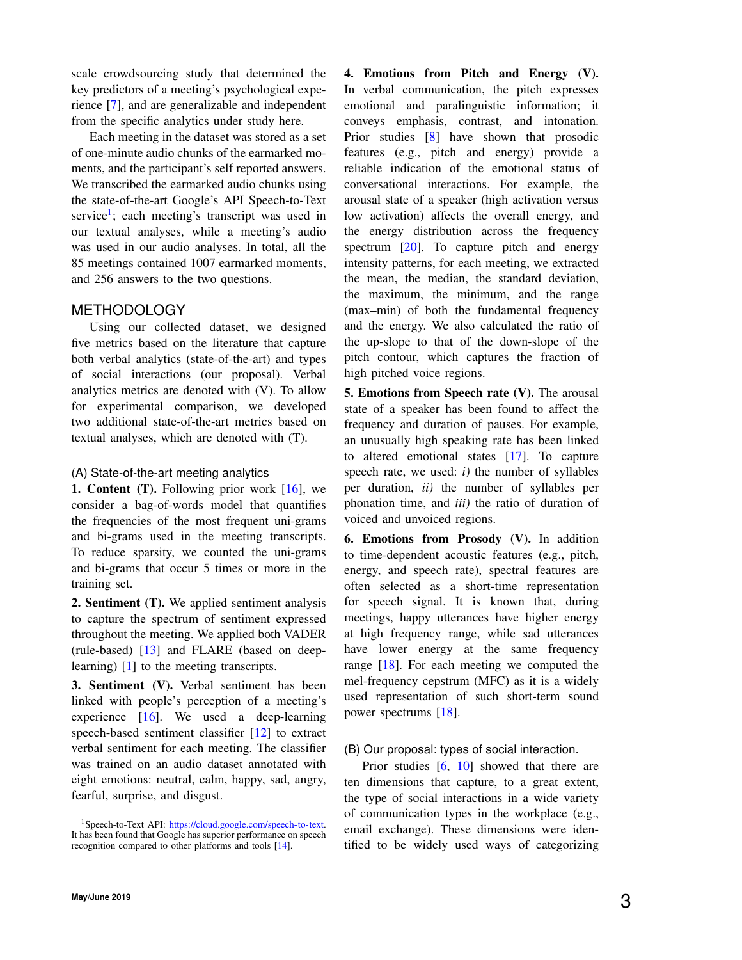scale crowdsourcing study that determined the key predictors of a meeting's psychological experience [\[7\]](#page-6-1), and are generalizable and independent from the specific analytics under study here.

Each meeting in the dataset was stored as a set of one-minute audio chunks of the earmarked moments, and the participant's self reported answers. We transcribed the earmarked audio chunks using the state-of-the-art Google's API Speech-to-Text service<sup>[1](#page-2-1)</sup>; each meeting's transcript was used in our textual analyses, while a meeting's audio was used in our audio analyses. In total, all the 85 meetings contained 1007 earmarked moments, and 256 answers to the two questions.

## <span id="page-2-0"></span>METHODOLOGY

Using our collected dataset, we designed five metrics based on the literature that capture both verbal analytics (state-of-the-art) and types of social interactions (our proposal). Verbal analytics metrics are denoted with (V). To allow for experimental comparison, we developed two additional state-of-the-art metrics based on textual analyses, which are denoted with (T).

#### (A) State-of-the-art meeting analytics

**1. Content (T).** Following prior work  $[16]$ , we consider a bag-of-words model that quantifies the frequencies of the most frequent uni-grams and bi-grams used in the meeting transcripts. To reduce sparsity, we counted the uni-grams and bi-grams that occur 5 times or more in the training set.

2. Sentiment (T). We applied sentiment analysis to capture the spectrum of sentiment expressed throughout the meeting. We applied both VADER (rule-based) [\[13\]](#page-6-7) and FLARE (based on deeplearning) [\[1\]](#page-6-8) to the meeting transcripts.

3. Sentiment (V). Verbal sentiment has been linked with people's perception of a meeting's experience [\[16\]](#page-7-3). We used a deep-learning speech-based sentiment classifier [\[12\]](#page-6-9) to extract verbal sentiment for each meeting. The classifier was trained on an audio dataset annotated with eight emotions: neutral, calm, happy, sad, angry, fearful, surprise, and disgust.

4. Emotions from Pitch and Energy (V). In verbal communication, the pitch expresses emotional and paralinguistic information; it conveys emphasis, contrast, and intonation. Prior studies [\[8\]](#page-6-6) have shown that prosodic features (e.g., pitch and energy) provide a reliable indication of the emotional status of conversational interactions. For example, the arousal state of a speaker (high activation versus low activation) affects the overall energy, and the energy distribution across the frequency spectrum [\[20\]](#page-7-4). To capture pitch and energy intensity patterns, for each meeting, we extracted the mean, the median, the standard deviation, the maximum, the minimum, and the range (max–min) of both the fundamental frequency and the energy. We also calculated the ratio of the up-slope to that of the down-slope of the pitch contour, which captures the fraction of high pitched voice regions.

5. Emotions from Speech rate (V). The arousal state of a speaker has been found to affect the frequency and duration of pauses. For example, an unusually high speaking rate has been linked to altered emotional states [\[17\]](#page-7-5). To capture speech rate, we used: *i)* the number of syllables per duration, *ii)* the number of syllables per phonation time, and *iii)* the ratio of duration of voiced and unvoiced regions.

6. Emotions from Prosody (V). In addition to time-dependent acoustic features (e.g., pitch, energy, and speech rate), spectral features are often selected as a short-time representation for speech signal. It is known that, during meetings, happy utterances have higher energy at high frequency range, while sad utterances have lower energy at the same frequency range [\[18\]](#page-7-6). For each meeting we computed the mel-frequency cepstrum (MFC) as it is a widely used representation of such short-term sound power spectrums [\[18\]](#page-7-6).

#### (B) Our proposal: types of social interaction.

Prior studies [\[6,](#page-6-11) [10\]](#page-6-5) showed that there are ten dimensions that capture, to a great extent, the type of social interactions in a wide variety of communication types in the workplace (e.g., email exchange). These dimensions were identified to be widely used ways of categorizing

<span id="page-2-1"></span><sup>&</sup>lt;sup>1</sup>Speech-to-Text API: [https://cloud.google.com/speech-to-text.](https://cloud.google.com/speech-to-text) It has been found that Google has superior performance on speech recognition compared to other platforms and tools [\[14\]](#page-6-10).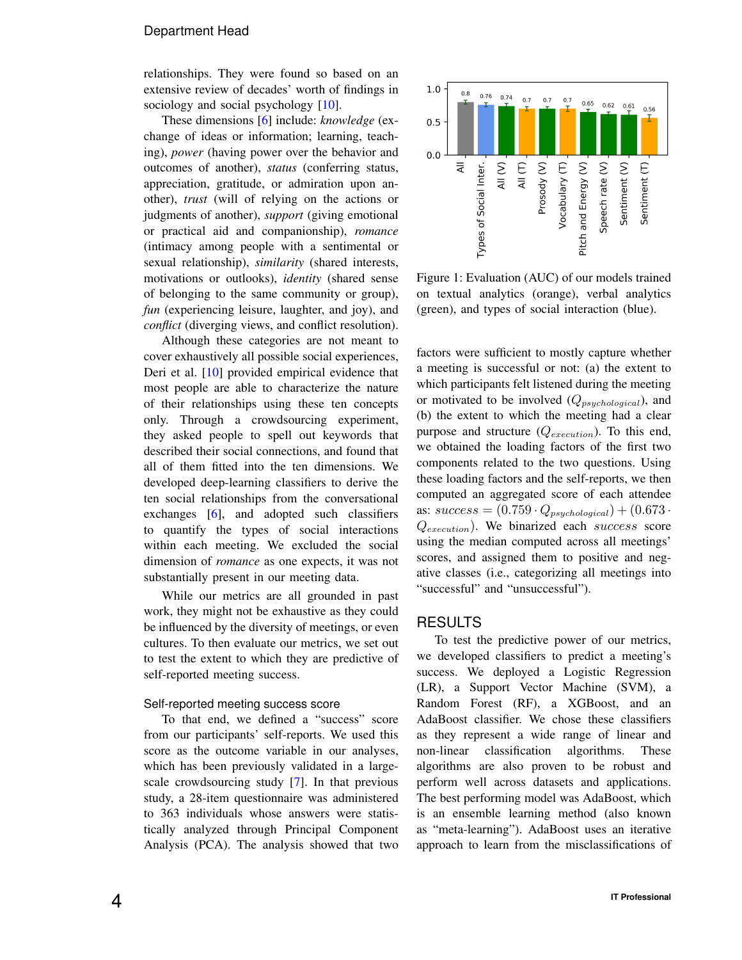#### Department Head

relationships. They were found so based on an extensive review of decades' worth of findings in sociology and social psychology [\[10\]](#page-6-5).

These dimensions [\[6\]](#page-6-11) include: *knowledge* (exchange of ideas or information; learning, teaching), *power* (having power over the behavior and outcomes of another), *status* (conferring status, appreciation, gratitude, or admiration upon another), *trust* (will of relying on the actions or judgments of another), *support* (giving emotional or practical aid and companionship), *romance* (intimacy among people with a sentimental or sexual relationship), *similarity* (shared interests, motivations or outlooks), *identity* (shared sense of belonging to the same community or group), *fun* (experiencing leisure, laughter, and joy), and *conflict* (diverging views, and conflict resolution).

Although these categories are not meant to cover exhaustively all possible social experiences, Deri et al. [\[10\]](#page-6-5) provided empirical evidence that most people are able to characterize the nature of their relationships using these ten concepts only. Through a crowdsourcing experiment, they asked people to spell out keywords that described their social connections, and found that all of them fitted into the ten dimensions. We developed deep-learning classifiers to derive the ten social relationships from the conversational exchanges [\[6\]](#page-6-11), and adopted such classifiers to quantify the types of social interactions within each meeting. We excluded the social dimension of *romance* as one expects, it was not substantially present in our meeting data.

While our metrics are all grounded in past work, they might not be exhaustive as they could be influenced by the diversity of meetings, or even cultures. To then evaluate our metrics, we set out to test the extent to which they are predictive of self-reported meeting success.

#### Self-reported meeting success score

To that end, we defined a "success" score from our participants' self-reports. We used this score as the outcome variable in our analyses, which has been previously validated in a largescale crowdsourcing study [\[7\]](#page-6-1). In that previous study, a 28-item questionnaire was administered to 363 individuals whose answers were statistically analyzed through Principal Component Analysis (PCA). The analysis showed that two

<span id="page-3-1"></span>

Figure 1: Evaluation (AUC) of our models trained on textual analytics (orange), verbal analytics (green), and types of social interaction (blue).

factors were sufficient to mostly capture whether a meeting is successful or not: (a) the extent to which participants felt listened during the meeting or motivated to be involved  $(Q_{psuchological})$ , and (b) the extent to which the meeting had a clear purpose and structure  $(Q_{execution})$ . To this end, we obtained the loading factors of the first two components related to the two questions. Using these loading factors and the self-reports, we then computed an aggregated score of each attendee as:  $success = (0.759 \cdot Q_{psychological}) + (0.673 \cdot$  $Q_{execution}$ ). We binarized each success score using the median computed across all meetings' scores, and assigned them to positive and negative classes (i.e., categorizing all meetings into "successful" and "unsuccessful").

# <span id="page-3-0"></span>**RESULTS**

To test the predictive power of our metrics, we developed classifiers to predict a meeting's success. We deployed a Logistic Regression (LR), a Support Vector Machine (SVM), a Random Forest (RF), a XGBoost, and an AdaBoost classifier. We chose these classifiers as they represent a wide range of linear and non-linear classification algorithms. These algorithms are also proven to be robust and perform well across datasets and applications. The best performing model was AdaBoost, which is an ensemble learning method (also known as "meta-learning"). AdaBoost uses an iterative approach to learn from the misclassifications of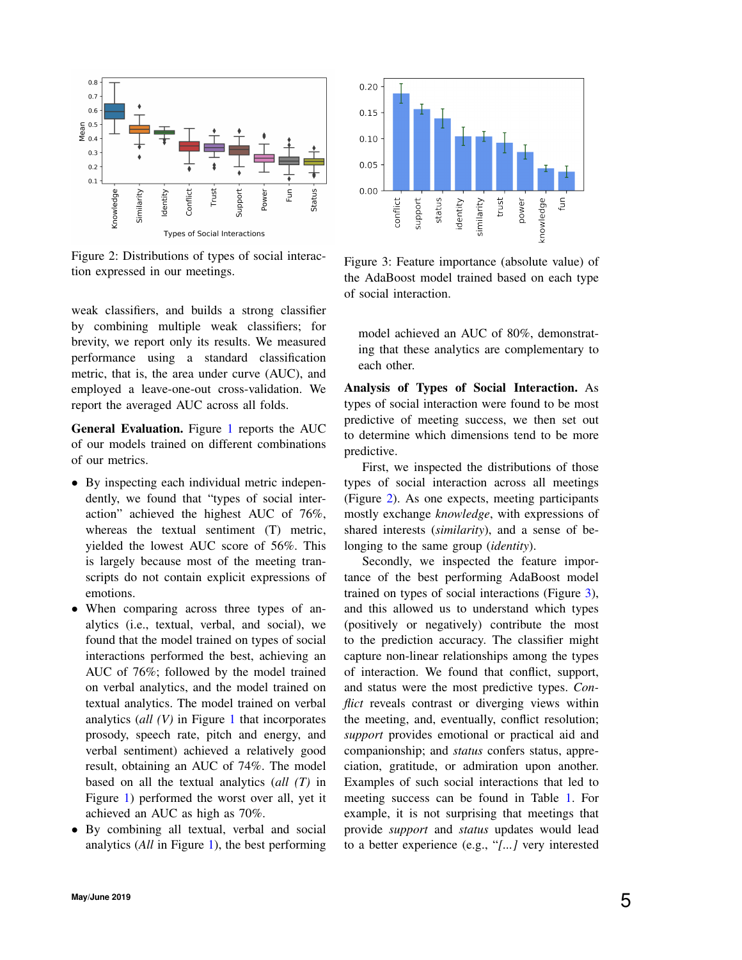<span id="page-4-0"></span>

Figure 2: Distributions of types of social interaction expressed in our meetings.

weak classifiers, and builds a strong classifier by combining multiple weak classifiers; for brevity, we report only its results. We measured performance using a standard classification metric, that is, the area under curve (AUC), and employed a leave-one-out cross-validation. We report the averaged AUC across all folds.

General Evaluation. Figure [1](#page-3-1) reports the AUC of our models trained on different combinations of our metrics.

- By inspecting each individual metric independently, we found that "types of social interaction" achieved the highest AUC of 76%, whereas the textual sentiment (T) metric, yielded the lowest AUC score of 56%. This is largely because most of the meeting transcripts do not contain explicit expressions of emotions.
- When comparing across three types of analytics (i.e., textual, verbal, and social), we found that the model trained on types of social interactions performed the best, achieving an AUC of 76%; followed by the model trained on verbal analytics, and the model trained on textual analytics. The model trained on verbal analytics (*all (V)* in Figure [1](#page-3-1) that incorporates prosody, speech rate, pitch and energy, and verbal sentiment) achieved a relatively good result, obtaining an AUC of 74%. The model based on all the textual analytics (*all (T)* in Figure [1\)](#page-3-1) performed the worst over all, yet it achieved an AUC as high as 70%.
- By combining all textual, verbal and social analytics (*All* in Figure [1\)](#page-3-1), the best performing

<span id="page-4-1"></span>

Figure 3: Feature importance (absolute value) of the AdaBoost model trained based on each type of social interaction.

model achieved an AUC of 80%, demonstrating that these analytics are complementary to each other.

Analysis of Types of Social Interaction. As types of social interaction were found to be most predictive of meeting success, we then set out to determine which dimensions tend to be more predictive.

First, we inspected the distributions of those types of social interaction across all meetings (Figure [2\)](#page-4-0). As one expects, meeting participants mostly exchange *knowledge*, with expressions of shared interests (*similarity*), and a sense of belonging to the same group (*identity*).

Secondly, we inspected the feature importance of the best performing AdaBoost model trained on types of social interactions (Figure [3\)](#page-4-1), and this allowed us to understand which types (positively or negatively) contribute the most to the prediction accuracy. The classifier might capture non-linear relationships among the types of interaction. We found that conflict, support, and status were the most predictive types. *Conflict* reveals contrast or diverging views within the meeting, and, eventually, conflict resolution; *support* provides emotional or practical aid and companionship; and *status* confers status, appreciation, gratitude, or admiration upon another. Examples of such social interactions that led to meeting success can be found in Table [1.](#page-5-1) For example, it is not surprising that meetings that provide *support* and *status* updates would lead to a better experience (e.g., "*[...]* very interested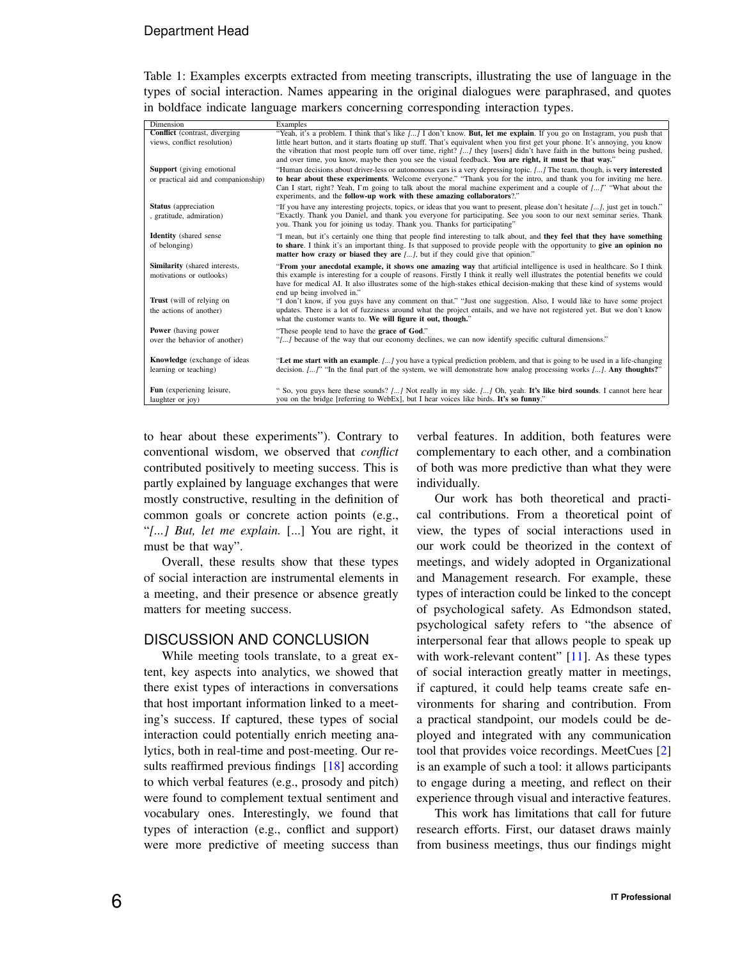# Department Head

<span id="page-5-1"></span>Table 1: Examples excerpts extracted from meeting transcripts, illustrating the use of language in the types of social interaction. Names appearing in the original dialogues were paraphrased, and quotes in boldface indicate language markers concerning corresponding interaction types.

| Dimension                            | Examples                                                                                                                           |
|--------------------------------------|------------------------------------------------------------------------------------------------------------------------------------|
| <b>Conflict</b> (contrast, diverging | "Yeah, it's a problem. I think that's like [] I don't know. But, let me explain. If you go on Instagram, you push that             |
| views, conflict resolution)          | little heart button, and it starts floating up stuff. That's equivalent when you first get your phone. It's annoying, you know     |
|                                      | the vibration that most people turn off over time, right? [] they [users] didn't have faith in the buttons being pushed,           |
|                                      | and over time, you know, maybe then you see the visual feedback. You are right, it must be that way."                              |
| Support (giving emotional            | "Human decisions about driver-less or autonomous cars is a very depressing topic. [] The team, though, is very interested          |
| or practical aid and companionship)  | to hear about these experiments. Welcome everyone." "Thank you for the intro, and thank you for inviting me here.                  |
|                                      | Can I start, right? Yeah, I'm going to talk about the moral machine experiment and a couple of []" "What about the                 |
|                                      | experiments, and the follow-up work with these amazing collaborators?."                                                            |
| <b>Status</b> (appreciation          | "If you have any interesting projects, topics, or ideas that you want to present, please don't hesitate [], just get in touch."    |
| , gratitude, admiration)             | "Exactly. Thank you Daniel, and thank you everyone for participating. See you soon to our next seminar series. Thank               |
|                                      | you. Thank you for joining us today. Thank you. Thanks for participating"                                                          |
| <b>Identity</b> (shared sense)       | "I mean, but it's certainly one thing that people find interesting to talk about, and they feel that they have something           |
| of belonging)                        | to share. I think it's an important thing. Is that supposed to provide people with the opportunity to give an opinion no           |
|                                      | matter how crazy or biased they are [], but if they could give that opinion."                                                      |
| Similarity (shared interests,        | "From your anecdotal example, it shows one amazing way that artificial intelligence is used in healthcare. So I think              |
| motivations or outlooks)             | this example is interesting for a couple of reasons. Firstly I think it really well illustrates the potential benefits we could    |
|                                      | have for medical AI. It also illustrates some of the high-stakes ethical decision-making that these kind of systems would          |
|                                      | end up being involved in."                                                                                                         |
| <b>Trust</b> (will of relying on     | "I don't know, if you guys have any comment on that." "Just one suggestion. Also, I would like to have some project                |
| the actions of another)              | updates. There is a lot of fuzziness around what the project entails, and we have not registered yet. But we don't know            |
|                                      | what the customer wants to. We will figure it out, though."                                                                        |
| <b>Power</b> (having power)          | "These people tend to have the grace of God."                                                                                      |
| over the behavior of another)        | "[] because of the way that our economy declines, we can now identify specific cultural dimensions."                               |
|                                      |                                                                                                                                    |
| <b>Knowledge</b> (exchange of ideas  | "Let me start with an example. [] you have a typical prediction problem, and that is going to be used in a life-changing           |
| learning or teaching)                | decision. $[\dots]$ " "In the final part of the system, we will demonstrate how analog processing works $[\dots]$ . Any thoughts?" |
|                                      |                                                                                                                                    |
| Fun (experiening leisure,            | " So, you guys here these sounds? $[]$ Not really in my side. $[]$ Oh, yeah. It's like bird sounds. I cannot here hear             |
| laughter or joy)                     | you on the bridge [referring to WebEx], but I hear voices like birds. It's so funny."                                              |
|                                      |                                                                                                                                    |

to hear about these experiments"). Contrary to conventional wisdom, we observed that *conflict* contributed positively to meeting success. This is partly explained by language exchanges that were mostly constructive, resulting in the definition of common goals or concrete action points (e.g., "*[...] But, let me explain.* [...] You are right, it must be that way".

Overall, these results show that these types of social interaction are instrumental elements in a meeting, and their presence or absence greatly matters for meeting success.

### <span id="page-5-0"></span>DISCUSSION AND CONCLUSION

While meeting tools translate, to a great extent, key aspects into analytics, we showed that there exist types of interactions in conversations that host important information linked to a meeting's success. If captured, these types of social interaction could potentially enrich meeting analytics, both in real-time and post-meeting. Our re-sults reaffirmed previous findings [\[18\]](#page-7-6) according to which verbal features (e.g., prosody and pitch) were found to complement textual sentiment and vocabulary ones. Interestingly, we found that types of interaction (e.g., conflict and support) were more predictive of meeting success than

verbal features. In addition, both features were complementary to each other, and a combination of both was more predictive than what they were individually.

Our work has both theoretical and practical contributions. From a theoretical point of view, the types of social interactions used in our work could be theorized in the context of meetings, and widely adopted in Organizational and Management research. For example, these types of interaction could be linked to the concept of psychological safety. As Edmondson stated, psychological safety refers to "the absence of interpersonal fear that allows people to speak up with work-relevant content"  $[11]$ . As these types of social interaction greatly matter in meetings, if captured, it could help teams create safe environments for sharing and contribution. From a practical standpoint, our models could be deployed and integrated with any communication tool that provides voice recordings. MeetCues [\[2\]](#page-6-0) is an example of such a tool: it allows participants to engage during a meeting, and reflect on their experience through visual and interactive features.

This work has limitations that call for future research efforts. First, our dataset draws mainly from business meetings, thus our findings might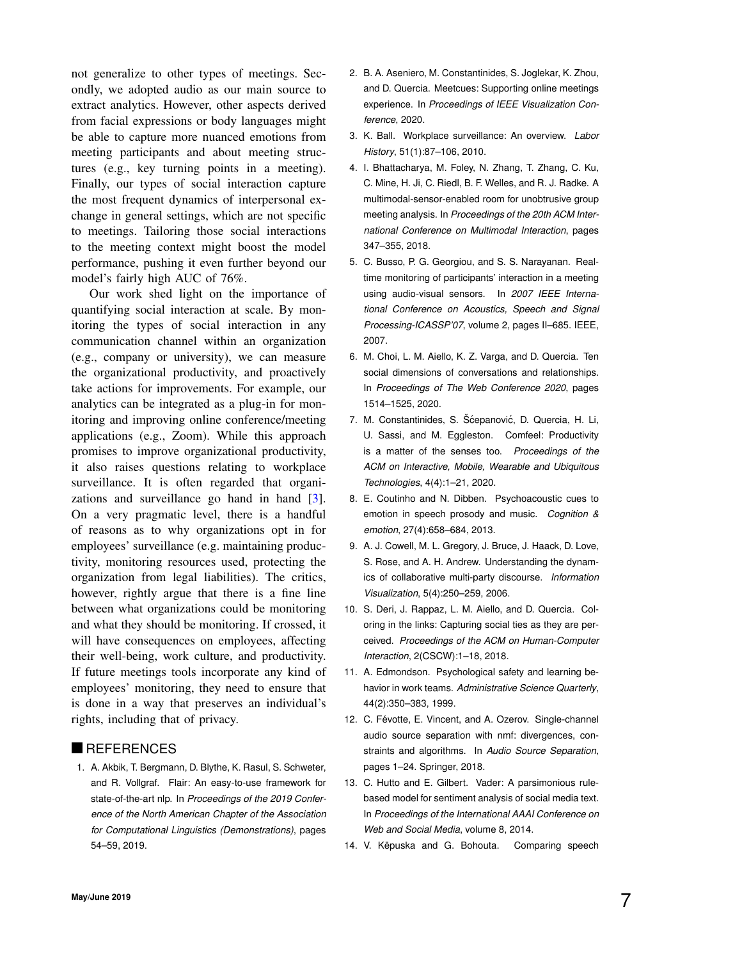not generalize to other types of meetings. Secondly, we adopted audio as our main source to extract analytics. However, other aspects derived from facial expressions or body languages might be able to capture more nuanced emotions from meeting participants and about meeting structures (e.g., key turning points in a meeting). Finally, our types of social interaction capture the most frequent dynamics of interpersonal exchange in general settings, which are not specific to meetings. Tailoring those social interactions to the meeting context might boost the model performance, pushing it even further beyond our model's fairly high AUC of 76%.

Our work shed light on the importance of quantifying social interaction at scale. By monitoring the types of social interaction in any communication channel within an organization (e.g., company or university), we can measure the organizational productivity, and proactively take actions for improvements. For example, our analytics can be integrated as a plug-in for monitoring and improving online conference/meeting applications (e.g., Zoom). While this approach promises to improve organizational productivity, it also raises questions relating to workplace surveillance. It is often regarded that organi-zations and surveillance go hand in hand [\[3\]](#page-6-13). On a very pragmatic level, there is a handful of reasons as to why organizations opt in for employees' surveillance (e.g. maintaining productivity, monitoring resources used, protecting the organization from legal liabilities). The critics, however, rightly argue that there is a fine line between what organizations could be monitoring and what they should be monitoring. If crossed, it will have consequences on employees, affecting their well-being, work culture, and productivity. If future meetings tools incorporate any kind of employees' monitoring, they need to ensure that is done in a way that preserves an individual's rights, including that of privacy.

### **REFERENCES**

<span id="page-6-8"></span>1. A. Akbik, T. Bergmann, D. Blythe, K. Rasul, S. Schweter, and R. Vollgraf. Flair: An easy-to-use framework for state-of-the-art nlp. In *Proceedings of the 2019 Conference of the North American Chapter of the Association for Computational Linguistics (Demonstrations)*, pages 54–59, 2019.

- <span id="page-6-0"></span>2. B. A. Aseniero, M. Constantinides, S. Joglekar, K. Zhou, and D. Quercia. Meetcues: Supporting online meetings experience. In *Proceedings of IEEE Visualization Conference*, 2020.
- <span id="page-6-13"></span>3. K. Ball. Workplace surveillance: An overview. *Labor History*, 51(1):87–106, 2010.
- <span id="page-6-4"></span>4. I. Bhattacharya, M. Foley, N. Zhang, T. Zhang, C. Ku, C. Mine, H. Ji, C. Riedl, B. F. Welles, and R. J. Radke. A multimodal-sensor-enabled room for unobtrusive group meeting analysis. In *Proceedings of the 20th ACM International Conference on Multimodal Interaction*, pages 347–355, 2018.
- <span id="page-6-3"></span>5. C. Busso, P. G. Georgiou, and S. S. Narayanan. Realtime monitoring of participants' interaction in a meeting using audio-visual sensors. In *2007 IEEE International Conference on Acoustics, Speech and Signal Processing-ICASSP'07*, volume 2, pages II–685. IEEE, 2007.
- <span id="page-6-11"></span>6. M. Choi, L. M. Aiello, K. Z. Varga, and D. Quercia. Ten social dimensions of conversations and relationships. In *Proceedings of The Web Conference 2020*, pages 1514–1525, 2020.
- <span id="page-6-1"></span>7. M. Constantinides, S. Šćepanović, D. Quercia, H. Li, U. Sassi, and M. Eggleston. Comfeel: Productivity is a matter of the senses too. *Proceedings of the ACM on Interactive, Mobile, Wearable and Ubiquitous Technologies*, 4(4):1–21, 2020.
- <span id="page-6-6"></span>8. E. Coutinho and N. Dibben. Psychoacoustic cues to emotion in speech prosody and music. *Cognition & emotion*, 27(4):658–684, 2013.
- <span id="page-6-2"></span>9. A. J. Cowell, M. L. Gregory, J. Bruce, J. Haack, D. Love, S. Rose, and A. H. Andrew. Understanding the dynamics of collaborative multi-party discourse. *Information Visualization*, 5(4):250–259, 2006.
- <span id="page-6-5"></span>10. S. Deri, J. Rappaz, L. M. Aiello, and D. Quercia. Coloring in the links: Capturing social ties as they are perceived. *Proceedings of the ACM on Human-Computer Interaction*, 2(CSCW):1–18, 2018.
- <span id="page-6-12"></span>11. A. Edmondson. Psychological safety and learning behavior in work teams. *Administrative Science Quarterly*, 44(2):350–383, 1999.
- <span id="page-6-9"></span>12. C. Févotte, E. Vincent, and A. Ozerov. Single-channel audio source separation with nmf: divergences, constraints and algorithms. In *Audio Source Separation*, pages 1–24. Springer, 2018.
- <span id="page-6-7"></span>13. C. Hutto and E. Gilbert. Vader: A parsimonious rulebased model for sentiment analysis of social media text. In *Proceedings of the International AAAI Conference on Web and Social Media*, volume 8, 2014.
- <span id="page-6-10"></span>14. V. Këpuska and G. Bohouta. Comparing speech